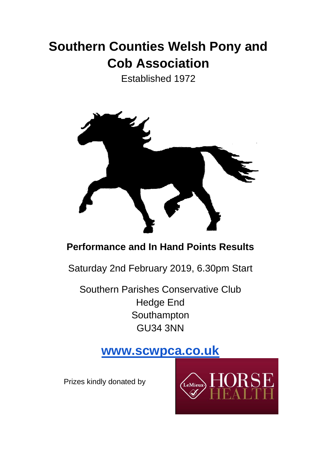# **Southern Counties Welsh Pony and Cob Association**

Established 1972



## **Performance and In Hand Points Results**

Saturday 2nd February 2019, 6.30pm Start

Southern Parishes Conservative Club Hedge End **Southampton** GU34 3NN

## **[www.scwpca.co.uk](http://www.scwpca.co.uk/)**

Prizes kindly donated by

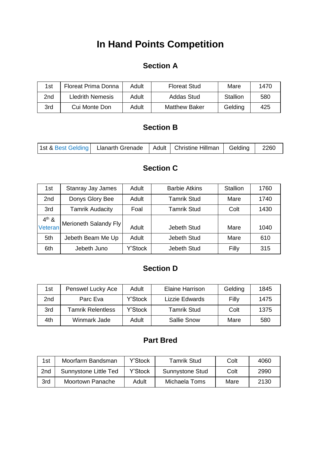## **In Hand Points Competition**

## **Section A**

| 1st | Floreat Prima Donna     | Adult | <b>Floreat Stud</b>  | Mare     | 1470 |
|-----|-------------------------|-------|----------------------|----------|------|
| 2nd | <b>Lledrith Nemesis</b> | Adult | Addas Stud           | Stallion | 580  |
| 3rd | Cui Monte Don           | Adult | <b>Matthew Baker</b> | Gelding  | 425  |

#### **Section B**

| 1st & Best Gelding   Llanarth Grenade   Adult   Christine Hillman   Gelding |  |  |  | 2260 |
|-----------------------------------------------------------------------------|--|--|--|------|
|-----------------------------------------------------------------------------|--|--|--|------|

### **Section C**

| 1st             | <b>Stanray Jay James</b> | Adult   | <b>Barbie Atkins</b> | <b>Stallion</b> | 1760 |
|-----------------|--------------------------|---------|----------------------|-----------------|------|
| 2 <sub>nd</sub> | Donys Glory Bee          | Adult   | <b>Tamrik Stud</b>   | Mare            | 1740 |
| 3rd             | <b>Tamrik Audacity</b>   | Foal    | Tamrik Stud          | Colt            | 1430 |
| $4th$ &         |                          |         |                      |                 |      |
| Veteran         | Merioneth Salandy Fly    | Adult   | Jebeth Stud          | Mare            | 1040 |
| 5th             | Jebeth Beam Me Up        | Adult   | Jebeth Stud          | Mare            | 610  |
| 6th             | Jebeth Juno              | Y'Stock | Jebeth Stud          | Filly           | 315  |

## **Section D**

| 1st | Penswel Lucky Ace        | Adult   | Elaine Harrison    | Gelding | 1845 |
|-----|--------------------------|---------|--------------------|---------|------|
| 2nd | Parc Eva                 | Y'Stock | Lizzie Edwards     | Filly   | 1475 |
| 3rd | <b>Tamrik Relentless</b> | Y'Stock | Tamrik Stud        | Colt    | 1375 |
| 4th | Winmark Jade             | Adult   | <b>Sallie Snow</b> | Mare    | 580  |

## **Part Bred**

| 1st             | Moorfarm Bandsman     | Y'Stock | Tamrik Stud            | Colt | 4060 |
|-----------------|-----------------------|---------|------------------------|------|------|
| 2 <sub>nd</sub> | Sunnystone Little Ted | Y'Stock | <b>Sunnystone Stud</b> | Colt | 2990 |
| 3rd             | Moortown Panache      | Adult   | Michaela Toms          | Mare | 2130 |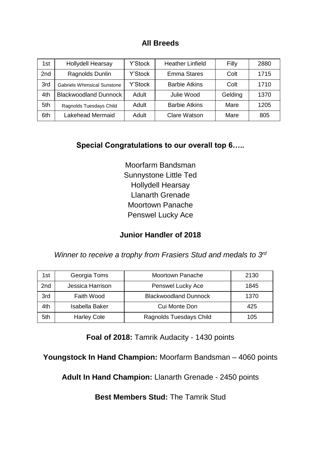#### **All Breeds**

| 1st             | <b>Hollydell Hearsay</b>           | Y'Stock | <b>Heather Linfield</b> | Filly   | 2880 |
|-----------------|------------------------------------|---------|-------------------------|---------|------|
| 2 <sub>nd</sub> | Ragnolds Dunlin                    | Y'Stock | <b>Emma Stares</b>      | Colt    | 1715 |
| 3rd             | <b>Gabriels Whimsical Sunstone</b> | Y'Stock | <b>Barbie Atkins</b>    | Colt    | 1710 |
| 4th             | <b>Blackwoodland Dunnock</b>       | Adult   | Julie Wood              | Gelding | 1370 |
| 5th             | Ragnolds Tuesdays Child            | Adult   | <b>Barbie Atkins</b>    | Mare    | 1205 |
| 6th             | Lakehead Mermaid                   | Adult   | <b>Clare Watson</b>     | Mare    | 805  |

### **Special Congratulations to our overall top 6…..**

Moorfarm Bandsman Sunnystone Little Ted Hollydell Hearsay Llanarth Grenade Moortown Panache Penswel Lucky Ace

### **Junior Handler of 2018**

*Winner to receive a trophy from Frasiers Stud and medals to 3<sup>rd</sup>* 

| 1st | Georgia Toms       | <b>Moortown Panache</b>      | 2130 |
|-----|--------------------|------------------------------|------|
| 2nd | Jessica Harrison   | Penswel Lucky Ace            | 1845 |
| 3rd | Faith Wood         | <b>Blackwoodland Dunnock</b> | 1370 |
| 4th | Isabella Baker     | Cui Monte Don                | 425  |
| 5th | <b>Harley Cole</b> | Ragnolds Tuesdays Child      | 105  |

**Foal of 2018:** Tamrik Audacity - 1430 points

**Youngstock In Hand Champion:** Moorfarm Bandsman – 4060 points

**Adult In Hand Champion:** Llanarth Grenade - 2450 points

**Best Members Stud:** The Tamrik Stud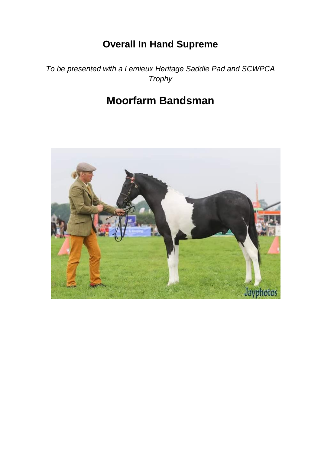## **Overall In Hand Supreme**

*To be presented with a Lemieux Heritage Saddle Pad and SCWPCA Trophy*

## **Moorfarm Bandsman**

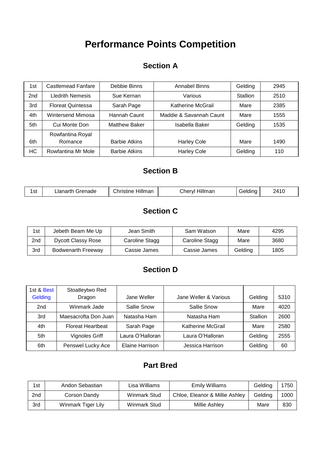## **Performance Points Competition**

#### **Section A**

| 1st             | Castlemead Fanfare       | Debbie Binns         | Annabel Binns           | Gelding         | 2945 |
|-----------------|--------------------------|----------------------|-------------------------|-----------------|------|
| 2 <sub>nd</sub> | <b>Lledrith Nemesis</b>  | Sue Kernan           | Various                 | <b>Stallion</b> | 2510 |
| 3rd             | <b>Floreat Quintessa</b> | Sarah Page           | Katherine McGrail       | Mare            | 2385 |
| 4th             | Wintersend Mimosa        | Hannah Caunt         | Maddie & Savannah Caunt | Mare            | 1555 |
| 5th             | Cui Monte Don            | <b>Matthew Baker</b> | Isabella Baker          | Gelding         | 1535 |
|                 | Rowfantina Royal         |                      |                         |                 |      |
| 6th             | Romance                  | <b>Barbie Atkins</b> | <b>Harley Cole</b>      | Mare            | 1490 |
| НC              | Rowfantina Mr Mole       | <b>Barbie Atkins</b> | <b>Harley Cole</b>      | Gelding         | 110  |

## **Section B**

| 1 c t<br>ا ت ا<br>$ -$ | - - - - - 1<br>.<br>лапе<br>-la'<br>. | .<br>.<br>nan<br>11111 | :hervl<br>''''<br>'iai<br>__ |  | 1110<br>27 I V |
|------------------------|---------------------------------------|------------------------|------------------------------|--|----------------|
|------------------------|---------------------------------------|------------------------|------------------------------|--|----------------|

## **Section C**

| 1st | Jebeth Beam Me Up         | Jean Smith     | Sam Watson     | Mare    | 4295 |
|-----|---------------------------|----------------|----------------|---------|------|
| 2nd | <b>Dycott Classy Rose</b> | Caroline Stagg | Caroline Stagg | Mare    | 3680 |
| 3rd | Bodwenarth Freeway        | Cassie James   | Cassie James   | Gelding | 1805 |

## **Section D**

| 1st & Best<br>Gelding | Stoatleytwo Red<br>Dragon | Jane Weller            | Jane Weller & Various    | Gelding         | 5310 |
|-----------------------|---------------------------|------------------------|--------------------------|-----------------|------|
| 2 <sub>nd</sub>       | Winmark Jade              | Sallie Snow            | Sallie Snow              | Mare            | 4020 |
|                       |                           |                        |                          |                 |      |
| 3rd                   | Maesacrofta Don Juan      | Natasha Ham            | Natasha Ham              | <b>Stallion</b> | 2600 |
| 4th                   | <b>Floreat Heartbeat</b>  | Sarah Page             | <b>Katherine McGrail</b> | Mare            | 2580 |
| 5th.                  | Vignoles Griff            | Laura O'Halloran       | Laura O'Halloran         | Gelding         | 2555 |
| 6th                   | Penswel Lucky Ace         | <b>Elaine Harrison</b> | Jessica Harrison         | Gelding         | 60   |

### **Part Bred**

| 1st | Andon Sebastian    | Lisa Williams       | <b>Emily Williams</b>          | Gelding | 1750 |
|-----|--------------------|---------------------|--------------------------------|---------|------|
| 2nd | Corson Dandy       | <b>Winmark Stud</b> | Chloe, Eleanor & Millie Ashley | Geldina | 1000 |
| 3rd | Winmark Tiger Lily | Winmark Stud        | Millie Ashley                  | Mare    | 830  |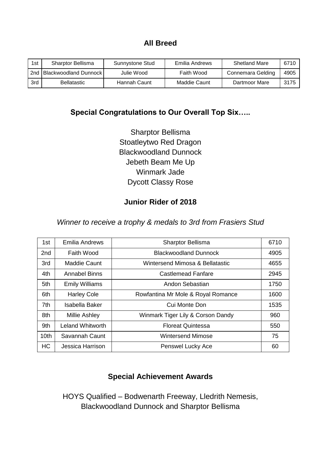#### **All Breed**

| 1st | <b>Sharptor Bellisma</b>  | Sunnystone Stud | Emilia Andrews | Shetland Mare     | 6710 |
|-----|---------------------------|-----------------|----------------|-------------------|------|
| 2nd | l Blackwoodland Dunnock I | Julie Wood      | Faith Wood     | Connemara Gelding | 4905 |
| 3rd | <b>Bellatastic</b>        | Hannah Caunt    | Maddie Caunt   | Dartmoor Mare     | 3175 |

#### **Special Congratulations to Our Overall Top Six…..**

Sharptor Bellisma Stoatleytwo Red Dragon Blackwoodland Dunnock Jebeth Beam Me Up Winmark Jade Dycott Classy Rose

### **Junior Rider of 2018**

#### *Winner to receive a trophy & medals to 3rd from Frasiers Stud*

| 1st              | Emilia Andrews          | <b>Sharptor Bellisma</b>           |      |
|------------------|-------------------------|------------------------------------|------|
| 2 <sub>nd</sub>  | Faith Wood              | <b>Blackwoodland Dunnock</b>       |      |
| 3rd              | <b>Maddie Caunt</b>     | Wintersend Mimosa & Bellatastic    |      |
| 4th              | <b>Annabel Binns</b>    | Castlemead Fanfare                 | 2945 |
| 5th              | <b>Emily Williams</b>   | Andon Sebastian                    | 1750 |
| 6th              | <b>Harley Cole</b>      | Rowfantina Mr Mole & Royal Romance | 1600 |
| 7th              | Isabella Baker          | Cui Monte Don                      | 1535 |
| 8th              | <b>Millie Ashley</b>    | Winmark Tiger Lily & Corson Dandy  | 960  |
| 9th              | <b>Leland Whitworth</b> | <b>Floreat Quintessa</b>           | 550  |
| 10 <sub>th</sub> | Savannah Caunt          | <b>Wintersend Mimose</b>           |      |
| <b>HC</b>        | Jessica Harrison        | <b>Penswel Lucky Ace</b>           |      |

### **Special Achievement Awards**

HOYS Qualified – Bodwenarth Freeway, Lledrith Nemesis, Blackwoodland Dunnock and Sharptor Bellisma